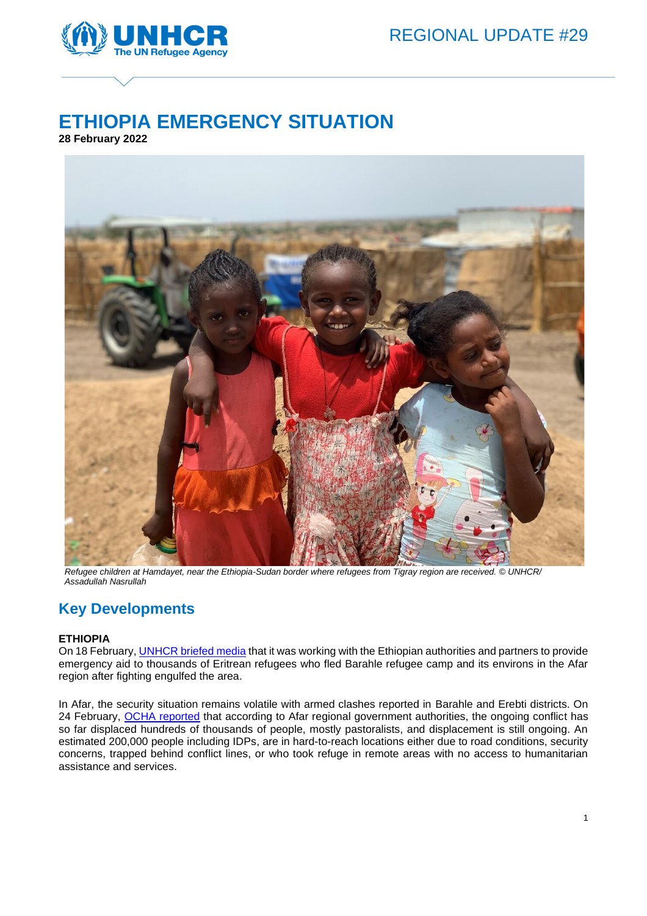

# **ETHIOPIA EMERGENCY SITUATION**

**28 February 2022**



*Refugee children at Hamdayet, near the Ethiopia-Sudan border where refugees from Tigray region are received. © UNHCR/ Assadullah Nasrullah*

# **Key Developments**

#### **ETHIOPIA**

On 18 February, [UNHCR briefed media](https://www.unhcr.org/news/briefing/2022/2/620f63574/thousands-eritrean-refugees-displaced-clashes-ethiopias-afar-region.html) that it was working with the Ethiopian authorities and partners to provide emergency aid to thousands of Eritrean refugees who fled Barahle refugee camp and its environs in the Afar region after fighting engulfed the area.

In Afar, the security situation remains volatile with armed clashes reported in Barahle and Erebti districts. On 24 February, [OCHA reported](https://eur02.safelinks.protection.outlook.com/?url=https%3A%2F%2Freports.unocha.org%2Fen%2Fcountry%2Fethiopia&data=04%7C01%7Ckasina%40unhcr.org%7C67b7cdda5d7442d1434c08d9f842a26a%7Ce5c37981666441348a0c6543d2af80be%7C0%7C0%7C637813787344934163%7CUnknown%7CTWFpbGZsb3d8eyJWIjoiMC4wLjAwMDAiLCJQIjoiV2luMzIiLCJBTiI6Ik1haWwiLCJXVCI6Mn0%3D%7C3000&sdata=HtHb4Ee5vJHg3WPS2%2BWRtcSha5S9qgp%2BPXkR1yo01iw%3D&reserved=0) that according to Afar regional government authorities, the ongoing conflict has so far displaced hundreds of thousands of people, mostly pastoralists, and displacement is still ongoing. An estimated 200,000 people including IDPs, are in hard-to-reach locations either due to road conditions, security concerns, trapped behind conflict lines, or who took refuge in remote areas with no access to humanitarian assistance and services.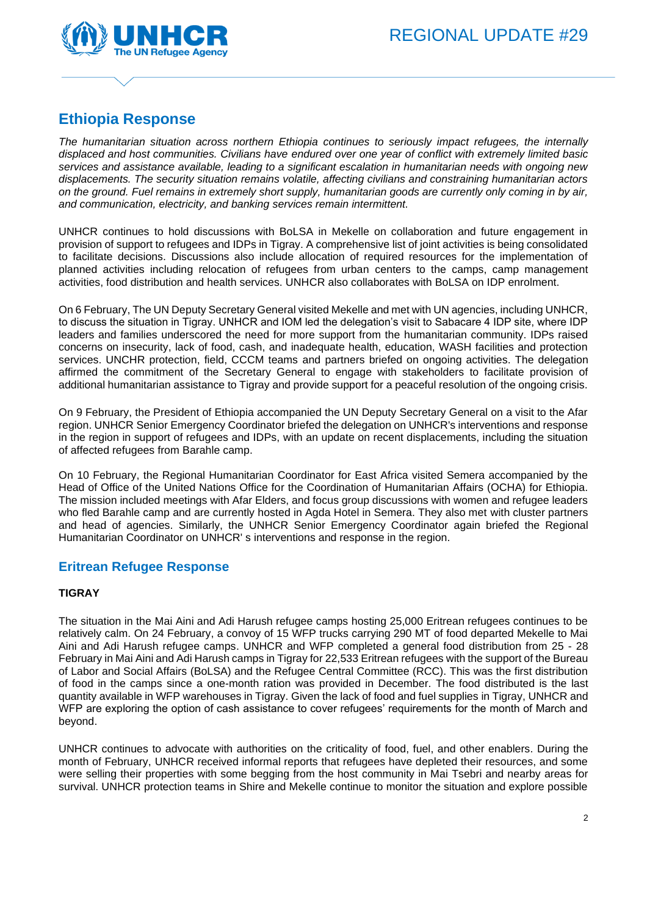

# **Ethiopia Response**

*The humanitarian situation across northern Ethiopia continues to seriously impact refugees, the internally displaced and host communities. Civilians have endured over one year of conflict with extremely limited basic services and assistance available, leading to a significant escalation in humanitarian needs with ongoing new displacements. The security situation remains volatile, affecting civilians and constraining humanitarian actors on the ground. Fuel remains in extremely short supply, humanitarian goods are currently only coming in by air, and communication, electricity, and banking services remain intermittent.*

UNHCR continues to hold discussions with BoLSA in Mekelle on collaboration and future engagement in provision of support to refugees and IDPs in Tigray. A comprehensive list of joint activities is being consolidated to facilitate decisions. Discussions also include allocation of required resources for the implementation of planned activities including relocation of refugees from urban centers to the camps, camp management activities, food distribution and health services. UNHCR also collaborates with BoLSA on IDP enrolment.

On 6 February, The UN Deputy Secretary General visited Mekelle and met with UN agencies, including UNHCR, to discuss the situation in Tigray. UNHCR and IOM led the delegation's visit to Sabacare 4 IDP site, where IDP leaders and families underscored the need for more support from the humanitarian community. IDPs raised concerns on insecurity, lack of food, cash, and inadequate health, education, WASH facilities and protection services. UNCHR protection, field, CCCM teams and partners briefed on ongoing activities. The delegation affirmed the commitment of the Secretary General to engage with stakeholders to facilitate provision of additional humanitarian assistance to Tigray and provide support for a peaceful resolution of the ongoing crisis.

On 9 February, the President of Ethiopia accompanied the UN Deputy Secretary General on a visit to the Afar region. UNHCR Senior Emergency Coordinator briefed the delegation on UNHCR's interventions and response in the region in support of refugees and IDPs, with an update on recent displacements, including the situation of affected refugees from Barahle camp.

On 10 February, the Regional Humanitarian Coordinator for East Africa visited Semera accompanied by the Head of Office of the United Nations Office for the Coordination of Humanitarian Affairs (OCHA) for Ethiopia. The mission included meetings with Afar Elders, and focus group discussions with women and refugee leaders who fled Barahle camp and are currently hosted in Agda Hotel in Semera. They also met with cluster partners and head of agencies. Similarly, the UNHCR Senior Emergency Coordinator again briefed the Regional Humanitarian Coordinator on UNHCR' s interventions and response in the region.

## **Eritrean Refugee Response**

### **TIGRAY**

The situation in the Mai Aini and Adi Harush refugee camps hosting 25,000 Eritrean refugees continues to be relatively calm. On 24 February, a convoy of 15 WFP trucks carrying 290 MT of food departed Mekelle to Mai Aini and Adi Harush refugee camps. UNHCR and WFP completed a general food distribution from 25 - 28 February in Mai Aini and Adi Harush camps in Tigray for 22,533 Eritrean refugees with the support of the Bureau of Labor and Social Affairs (BoLSA) and the Refugee Central Committee (RCC). This was the first distribution of food in the camps since a one-month ration was provided in December. The food distributed is the last quantity available in WFP warehouses in Tigray. Given the lack of food and fuel supplies in Tigray, UNHCR and WFP are exploring the option of cash assistance to cover refugees' requirements for the month of March and beyond.

UNHCR continues to advocate with authorities on the criticality of food, fuel, and other enablers. During the month of February, UNHCR received informal reports that refugees have depleted their resources, and some were selling their properties with some begging from the host community in Mai Tsebri and nearby areas for survival. UNHCR protection teams in Shire and Mekelle continue to monitor the situation and explore possible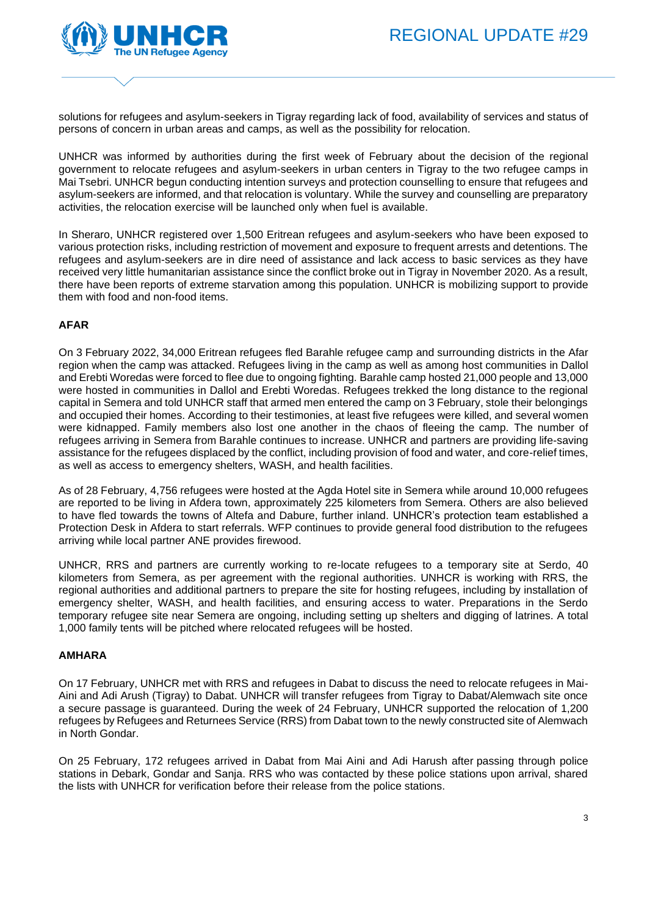

solutions for refugees and asylum-seekers in Tigray regarding lack of food, availability of services and status of persons of concern in urban areas and camps, as well as the possibility for relocation.

UNHCR was informed by authorities during the first week of February about the decision of the regional government to relocate refugees and asylum-seekers in urban centers in Tigray to the two refugee camps in Mai Tsebri. UNHCR begun conducting intention surveys and protection counselling to ensure that refugees and asylum-seekers are informed, and that relocation is voluntary. While the survey and counselling are preparatory activities, the relocation exercise will be launched only when fuel is available.

In Sheraro, UNHCR registered over 1,500 Eritrean refugees and asylum-seekers who have been exposed to various protection risks, including restriction of movement and exposure to frequent arrests and detentions. The refugees and asylum-seekers are in dire need of assistance and lack access to basic services as they have received very little humanitarian assistance since the conflict broke out in Tigray in November 2020. As a result, there have been reports of extreme starvation among this population. UNHCR is mobilizing support to provide them with food and non-food items.

#### **AFAR**

On 3 February 2022, 34,000 Eritrean refugees fled Barahle refugee camp and surrounding districts in the Afar region when the camp was attacked. Refugees living in the camp as well as among host communities in Dallol and Erebti Woredas were forced to flee due to ongoing fighting. Barahle camp hosted 21,000 people and 13,000 were hosted in communities in Dallol and Erebti Woredas. Refugees trekked the long distance to the regional capital in Semera and told UNHCR staff that armed men entered the camp on 3 February, stole their belongings and occupied their homes. According to their testimonies, at least five refugees were killed, and several women were kidnapped. Family members also lost one another in the chaos of fleeing the camp. The number of refugees arriving in Semera from Barahle continues to increase. UNHCR and partners are providing life-saving assistance for the refugees displaced by the conflict, including provision of food and water, and core-relief times, as well as access to emergency shelters, WASH, and health facilities.

As of 28 February, 4,756 refugees were hosted at the Agda Hotel site in Semera while around 10,000 refugees are reported to be living in Afdera town, approximately 225 kilometers from Semera. Others are also believed to have fled towards the towns of Altefa and Dabure, further inland. UNHCR's protection team established a Protection Desk in Afdera to start referrals. WFP continues to provide general food distribution to the refugees arriving while local partner ANE provides firewood.

UNHCR, RRS and partners are currently working to re-locate refugees to a temporary site at Serdo, 40 kilometers from Semera, as per agreement with the regional authorities. UNHCR is working with RRS, the regional authorities and additional partners to prepare the site for hosting refugees, including by installation of emergency shelter, WASH, and health facilities, and ensuring access to water. Preparations in the Serdo temporary refugee site near Semera are ongoing, including setting up shelters and digging of latrines. A total 1,000 family tents will be pitched where relocated refugees will be hosted.

#### **AMHARA**

On 17 February, UNHCR met with RRS and refugees in Dabat to discuss the need to relocate refugees in Mai-Aini and Adi Arush (Tigray) to Dabat. UNHCR will transfer refugees from Tigray to Dabat/Alemwach site once a secure passage is guaranteed. During the week of 24 February, UNHCR supported the relocation of 1,200 refugees by Refugees and Returnees Service (RRS) from Dabat town to the newly constructed site of Alemwach in North Gondar.

On 25 February, 172 refugees arrived in Dabat from Mai Aini and Adi Harush after passing through police stations in Debark, Gondar and Sanja. RRS who was contacted by these police stations upon arrival, shared the lists with UNHCR for verification before their release from the police stations.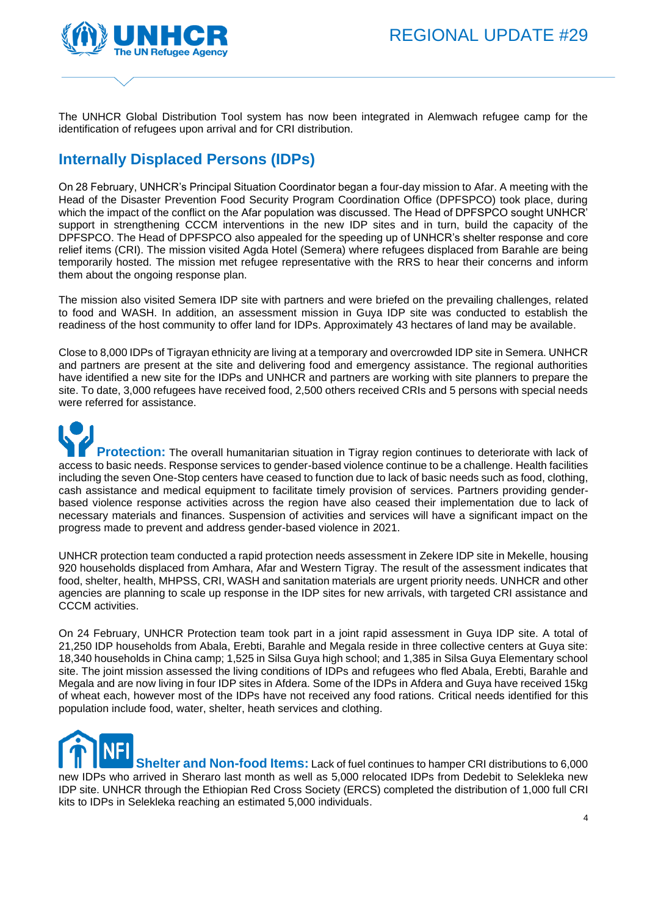

The UNHCR Global Distribution Tool system has now been integrated in Alemwach refugee camp for the identification of refugees upon arrival and for CRI distribution.

## **Internally Displaced Persons (IDPs)**

On 28 February, UNHCR's Principal Situation Coordinator began a four-day mission to Afar. A meeting with the Head of the Disaster Prevention Food Security Program Coordination Office (DPFSPCO) took place, during which the impact of the conflict on the Afar population was discussed. The Head of DPFSPCO sought UNHCR' support in strengthening CCCM interventions in the new IDP sites and in turn, build the capacity of the DPFSPCO. The Head of DPFSPCO also appealed for the speeding up of UNHCR's shelter response and core relief items (CRI). The mission visited Agda Hotel (Semera) where refugees displaced from Barahle are being temporarily hosted. The mission met refugee representative with the RRS to hear their concerns and inform them about the ongoing response plan.

The mission also visited Semera IDP site with partners and were briefed on the prevailing challenges, related to food and WASH. In addition, an assessment mission in Guya IDP site was conducted to establish the readiness of the host community to offer land for IDPs. Approximately 43 hectares of land may be available.

Close to 8,000 IDPs of Tigrayan ethnicity are living at a temporary and overcrowded IDP site in Semera. UNHCR and partners are present at the site and delivering food and emergency assistance. The regional authorities have identified a new site for the IDPs and UNHCR and partners are working with site planners to prepare the site. To date, 3,000 refugees have received food, 2,500 others received CRIs and 5 persons with special needs were referred for assistance.

**Protection:** The overall humanitarian situation in Tigray region continues to deteriorate with lack of access to basic needs. Response services to gender-based violence continue to be a challenge. Health facilities including the seven One-Stop centers have ceased to function due to lack of basic needs such as food, clothing, cash assistance and medical equipment to facilitate timely provision of services. Partners providing genderbased violence response activities across the region have also ceased their implementation due to lack of necessary materials and finances. Suspension of activities and services will have a significant impact on the progress made to prevent and address gender-based violence in 2021.

UNHCR protection team conducted a rapid protection needs assessment in Zekere IDP site in Mekelle, housing 920 households displaced from Amhara, Afar and Western Tigray. The result of the assessment indicates that food, shelter, health, MHPSS, CRI, WASH and sanitation materials are urgent priority needs. UNHCR and other agencies are planning to scale up response in the IDP sites for new arrivals, with targeted CRI assistance and CCCM activities.

On 24 February, UNHCR Protection team took part in a joint rapid assessment in Guya IDP site. A total of 21,250 IDP households from Abala, Erebti, Barahle and Megala reside in three collective centers at Guya site: 18,340 households in China camp; 1,525 in Silsa Guya high school; and 1,385 in Silsa Guya Elementary school site. The joint mission assessed the living conditions of IDPs and refugees who fled Abala, Erebti, Barahle and Megala and are now living in four IDP sites in Afdera. Some of the IDPs in Afdera and Guya have received 15kg of wheat each, however most of the IDPs have not received any food rations. Critical needs identified for this population include food, water, shelter, heath services and clothing.



**Shelter and Non-food Items:** Lack of fuel continues to hamper CRI distributions to 6,000 new IDPs who arrived in Sheraro last month as well as 5,000 relocated IDPs from Dedebit to Selekleka new IDP site. UNHCR through the Ethiopian Red Cross Society (ERCS) completed the distribution of 1,000 full CRI kits to IDPs in Selekleka reaching an estimated 5,000 individuals.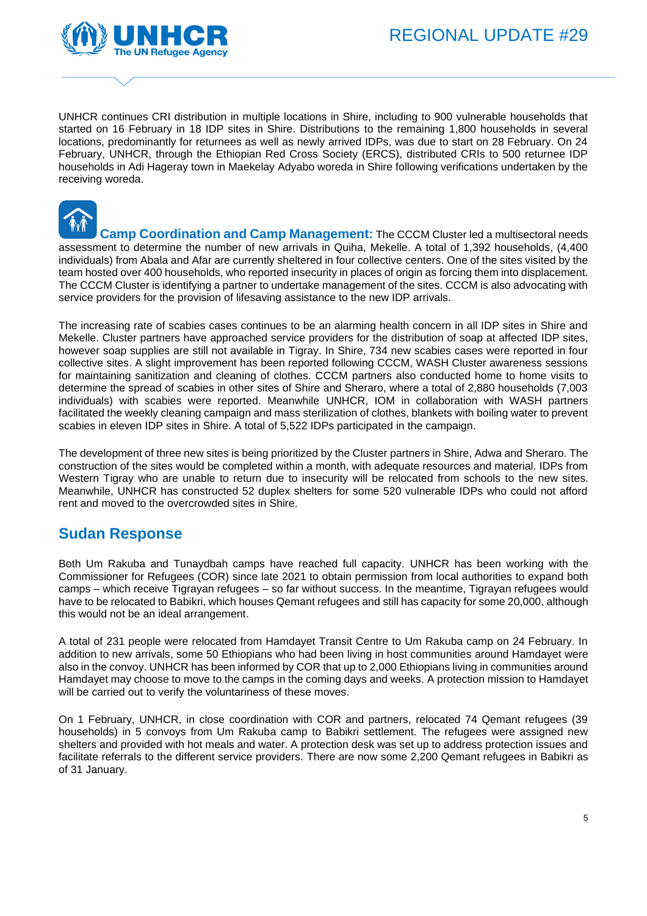

UNHCR continues CRI distribution in multiple locations in Shire, including to 900 vulnerable households that started on 16 February in 18 IDP sites in Shire. Distributions to the remaining 1,800 households in several locations, predominantly for returnees as well as newly arrived IDPs, was due to start on 28 February. On 24 February, UNHCR, through the Ethiopian Red Cross Society (ERCS), distributed CRIs to 500 returnee IDP households in Adi Hageray town in Maekelay Adyabo woreda in Shire following verifications undertaken by the receiving woreda.



**Camp Coordination and Camp Management:** The CCCM Cluster led a multisectoral needs assessment to determine the number of new arrivals in Quiha, Mekelle. A total of 1,392 households, (4,400 individuals) from Abala and Afar are currently sheltered in four collective centers. One of the sites visited by the team hosted over 400 households, who reported insecurity in places of origin as forcing them into displacement. The CCCM Cluster is identifying a partner to undertake management of the sites. CCCM is also advocating with service providers for the provision of lifesaving assistance to the new IDP arrivals.

The increasing rate of scabies cases continues to be an alarming health concern in all IDP sites in Shire and Mekelle. Cluster partners have approached service providers for the distribution of soap at affected IDP sites, however soap supplies are still not available in Tigray. In Shire, 734 new scabies cases were reported in four collective sites. A slight improvement has been reported following CCCM, WASH Cluster awareness sessions for maintaining sanitization and cleaning of clothes. CCCM partners also conducted home to home visits to determine the spread of scabies in other sites of Shire and Sheraro, where a total of 2,880 households (7,003 individuals) with scabies were reported. Meanwhile UNHCR, IOM in collaboration with WASH partners facilitated the weekly cleaning campaign and mass sterilization of clothes, blankets with boiling water to prevent scabies in eleven IDP sites in Shire. A total of 5,522 IDPs participated in the campaign.

The development of three new sites is being prioritized by the Cluster partners in Shire, Adwa and Sheraro. The construction of the sites would be completed within a month, with adequate resources and material. IDPs from Western Tigray who are unable to return due to insecurity will be relocated from schools to the new sites. Meanwhile, UNHCR has constructed 52 duplex shelters for some 520 vulnerable IDPs who could not afford rent and moved to the overcrowded sites in Shire.

## **Sudan Response**

Both Um Rakuba and Tunaydbah camps have reached full capacity. UNHCR has been working with the Commissioner for Refugees (COR) since late 2021 to obtain permission from local authorities to expand both camps – which receive Tigrayan refugees – so far without success. In the meantime, Tigrayan refugees would have to be relocated to Babikri, which houses Qemant refugees and still has capacity for some 20,000, although this would not be an ideal arrangement.

A total of 231 people were relocated from Hamdayet Transit Centre to Um Rakuba camp on 24 February. In addition to new arrivals, some 50 Ethiopians who had been living in host communities around Hamdayet were also in the convoy. UNHCR has been informed by COR that up to 2,000 Ethiopians living in communities around Hamdayet may choose to move to the camps in the coming days and weeks. A protection mission to Hamdayet will be carried out to verify the voluntariness of these moves.

On 1 February, UNHCR, in close coordination with COR and partners, relocated 74 Qemant refugees (39 households) in 5 convoys from Um Rakuba camp to Babikri settlement. The refugees were assigned new shelters and provided with hot meals and water. A protection desk was set up to address protection issues and facilitate referrals to the different service providers. There are now some 2,200 Qemant refugees in Babikri as of 31 January.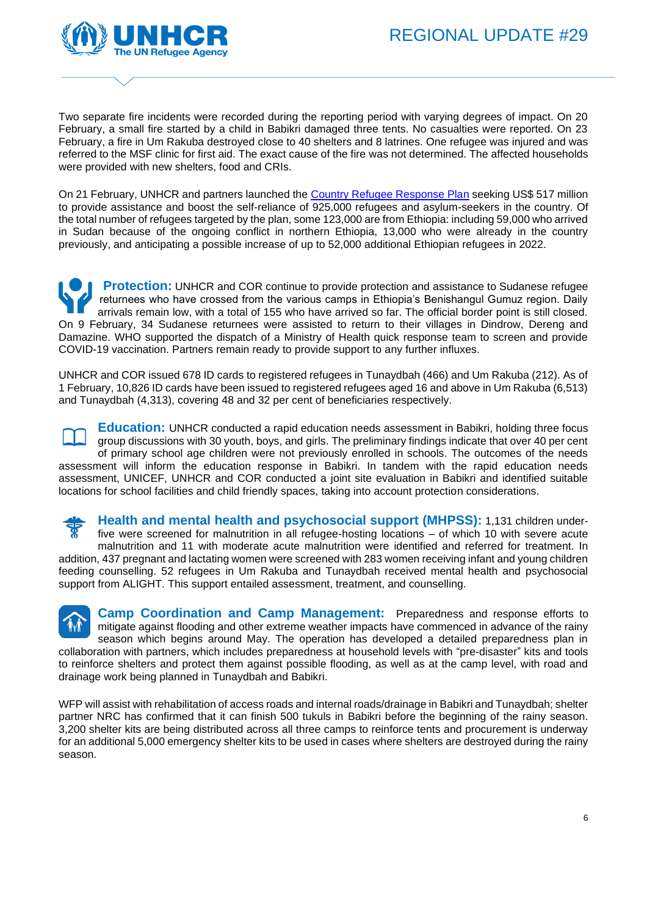

Two separate fire incidents were recorded during the reporting period with varying degrees of impact. On 20 February, a small fire started by a child in Babikri damaged three tents. No casualties were reported. On 23 February, a fire in Um Rakuba destroyed close to 40 shelters and 8 latrines. One refugee was injured and was referred to the MSF clinic for first aid. The exact cause of the fire was not determined. The affected households were provided with new shelters, food and CRIs.

On 21 February, UNHCR and partners launched the [Country Refugee Response Plan](https://eur02.safelinks.protection.outlook.com/?url=https%3A%2F%2Fdata2.unhcr.org%2Fen%2Fdocuments%2Fdetails%2F91010&data=04%7C01%7Ckalumiya%40unhcr.org%7C7ccd2a1a0d204eb9c0a408d9f5de5341%7Ce5c37981666441348a0c6543d2af80be%7C0%7C0%7C637811157486774759%7CUnknown%7CTWFpbGZsb3d8eyJWIjoiMC4wLjAwMDAiLCJQIjoiV2luMzIiLCJBTiI6Ik1haWwiLCJXVCI6Mn0%3D%7C3000&sdata=SoFlL%2Fd70P%2B%2BDbs6no3ISCYcsXPRRMCo95bcUkm5XPY%3D&reserved=0) seeking US\$ 517 million to provide assistance and boost the self-reliance of 925,000 refugees and asylum-seekers in the country. Of the total number of refugees targeted by the plan, some 123,000 are from Ethiopia: including 59,000 who arrived in Sudan because of the ongoing conflict in northern Ethiopia, 13,000 who were already in the country previously, and anticipating a possible increase of up to 52,000 additional Ethiopian refugees in 2022.

**Protection:** UNHCR and COR continue to provide protection and assistance to Sudanese refugee returnees who have crossed from the various camps in Ethiopia's Benishangul Gumuz region. Daily arrivals remain low, with a total of 155 who have arrived so far. The official border point is still closed. On 9 February, 34 Sudanese returnees were assisted to return to their villages in Dindrow, Dereng and Damazine. WHO supported the dispatch of a Ministry of Health quick response team to screen and provide COVID-19 vaccination. Partners remain ready to provide support to any further influxes.

UNHCR and COR issued 678 ID cards to registered refugees in Tunaydbah (466) and Um Rakuba (212). As of 1 February, 10,826 ID cards have been issued to registered refugees aged 16 and above in Um Rakuba (6,513) and Tunaydbah (4,313), covering 48 and 32 per cent of beneficiaries respectively.

**Education:** UNHCR conducted a rapid education needs assessment in Babikri, holding three focus group discussions with 30 youth, boys, and girls. The preliminary findings indicate that over 40 per cent of primary school age children were not previously enrolled in schools. The outcomes of the needs assessment will inform the education response in Babikri. In tandem with the rapid education needs assessment, UNICEF, UNHCR and COR conducted a joint site evaluation in Babikri and identified suitable locations for school facilities and child friendly spaces, taking into account protection considerations.

**Health and mental health and psychosocial support (MHPSS):** 1,131 children underfive were screened for malnutrition in all refugee-hosting locations – of which 10 with severe acute malnutrition and 11 with moderate acute malnutrition were identified and referred for treatment. In addition, 437 pregnant and lactating women were screened with 283 women receiving infant and young children feeding counselling. 52 refugees in Um Rakuba and Tunaydbah received mental health and psychosocial support from ALIGHT. This support entailed assessment, treatment, and counselling.



**Camp Coordination and Camp Management:** Preparedness and response efforts to mitigate against flooding and other extreme weather impacts have commenced in advance of the rainy season which begins around May. The operation has developed a detailed preparedness plan in collaboration with partners, which includes preparedness at household levels with "pre-disaster" kits and tools to reinforce shelters and protect them against possible flooding, as well as at the camp level, with road and drainage work being planned in Tunaydbah and Babikri.

WFP will assist with rehabilitation of access roads and internal roads/drainage in Babikri and Tunaydbah; shelter partner NRC has confirmed that it can finish 500 tukuls in Babikri before the beginning of the rainy season. 3,200 shelter kits are being distributed across all three camps to reinforce tents and procurement is underway for an additional 5,000 emergency shelter kits to be used in cases where shelters are destroyed during the rainy season.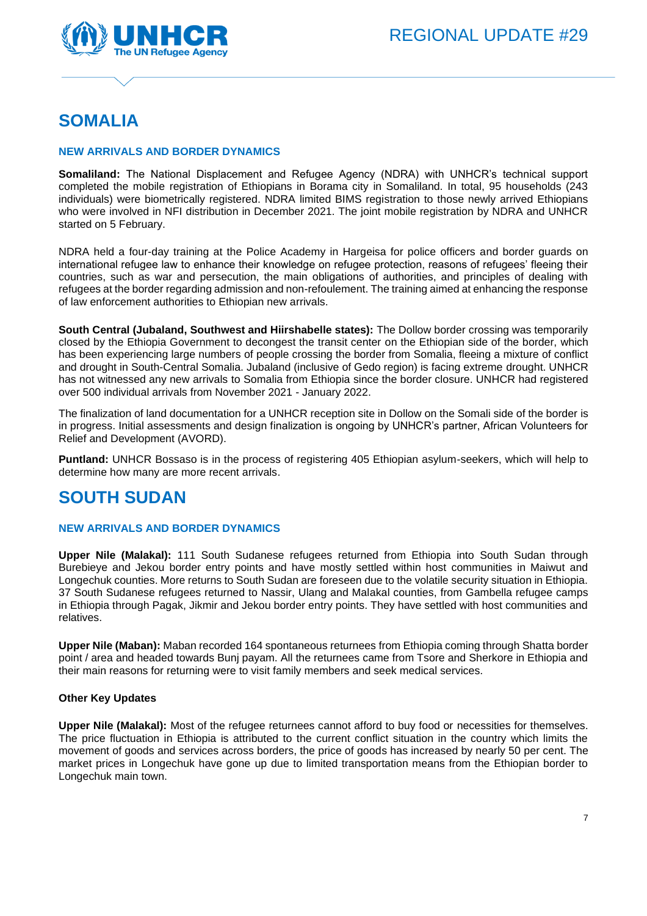

# **SOMALIA**

### **NEW ARRIVALS AND BORDER DYNAMICS**

**Somaliland:** The National Displacement and Refugee Agency (NDRA) with UNHCR's technical support completed the mobile registration of Ethiopians in Borama city in Somaliland. In total, 95 households (243 individuals) were biometrically registered. NDRA limited BIMS registration to those newly arrived Ethiopians who were involved in NFI distribution in December 2021. The joint mobile registration by NDRA and UNHCR started on 5 February.

NDRA held a four-day training at the Police Academy in Hargeisa for police officers and border guards on international refugee law to enhance their knowledge on refugee protection, reasons of refugees' fleeing their countries, such as war and persecution, the main obligations of authorities, and principles of dealing with refugees at the border regarding admission and non-refoulement. The training aimed at enhancing the response of law enforcement authorities to Ethiopian new arrivals.

**South Central (Jubaland, Southwest and Hiirshabelle states):** The Dollow border crossing was temporarily closed by the Ethiopia Government to decongest the transit center on the Ethiopian side of the border, which has been experiencing large numbers of people crossing the border from Somalia, fleeing a mixture of conflict and drought in South-Central Somalia. Jubaland (inclusive of Gedo region) is facing extreme drought. UNHCR has not witnessed any new arrivals to Somalia from Ethiopia since the border closure. UNHCR had registered over 500 individual arrivals from November 2021 - January 2022.

The finalization of land documentation for a UNHCR reception site in Dollow on the Somali side of the border is in progress. Initial assessments and design finalization is ongoing by UNHCR's partner, African Volunteers for Relief and Development (AVORD).

**Puntland:** UNHCR Bossaso is in the process of registering 405 Ethiopian asylum-seekers, which will help to determine how many are more recent arrivals.

# **SOUTH SUDAN**

#### **NEW ARRIVALS AND BORDER DYNAMICS**

**Upper Nile (Malakal):** 111 South Sudanese refugees returned from Ethiopia into South Sudan through Burebieye and Jekou border entry points and have mostly settled within host communities in Maiwut and Longechuk counties. More returns to South Sudan are foreseen due to the volatile security situation in Ethiopia. 37 South Sudanese refugees returned to Nassir, Ulang and Malakal counties, from Gambella refugee camps in Ethiopia through Pagak, Jikmir and Jekou border entry points. They have settled with host communities and relatives.

**Upper Nile (Maban):** Maban recorded 164 spontaneous returnees from Ethiopia coming through Shatta border point / area and headed towards Bunj payam. All the returnees came from Tsore and Sherkore in Ethiopia and their main reasons for returning were to visit family members and seek medical services.

#### **Other Key Updates**

**Upper Nile (Malakal):** Most of the refugee returnees cannot afford to buy food or necessities for themselves. The price fluctuation in Ethiopia is attributed to the current conflict situation in the country which limits the movement of goods and services across borders, the price of goods has increased by nearly 50 per cent. The market prices in Longechuk have gone up due to limited transportation means from the Ethiopian border to Longechuk main town.